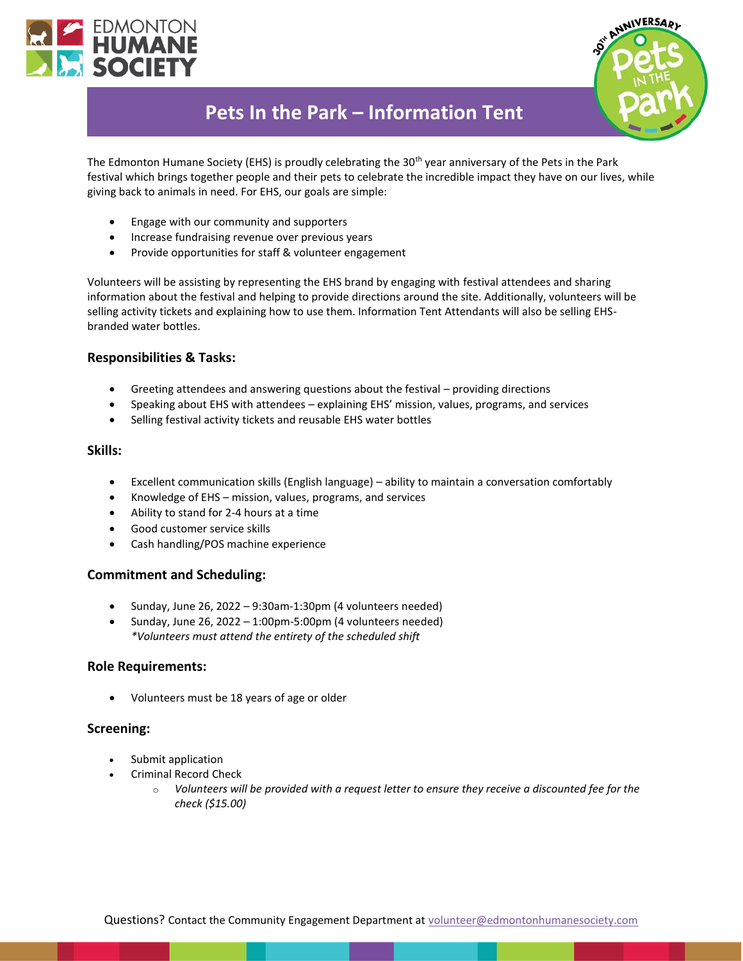



# **Pets In the Park – Information Tent**

The Edmonton Humane Society (EHS) is proudly celebrating the 30<sup>th</sup> year anniversary of the Pets in the Park festival which brings together people and their pets to celebrate the incredible impact they have on our lives, while giving back to animals in need. For EHS, our goals are simple:

- Engage with our community and supporters
- Increase fundraising revenue over previous years
- Provide opportunities for staff & volunteer engagement

Volunteers will be assisting by representing the EHS brand by engaging with festival attendees and sharing information about the festival and helping to provide directions around the site. Additionally, volunteers will be selling activity tickets and explaining how to use them. Information Tent Attendants will also be selling EHSbranded water bottles.

## **Responsibilities & Tasks:**

- Greeting attendees and answering questions about the festival providing directions
- Speaking about EHS with attendees explaining EHS' mission, values, programs, and services
- Selling festival activity tickets and reusable EHS water bottles

#### **Skills:**

- Excellent communication skills (English language) ability to maintain a conversation comfortably
- Knowledge of EHS mission, values, programs, and services
- Ability to stand for 2-4 hours at a time
- Good customer service skills
- Cash handling/POS machine experience

## **Commitment and Scheduling:**

- Sunday, June 26, 2022 9:30am-1:30pm (4 volunteers needed)
- Sunday, June 26, 2022 1:00pm-5:00pm (4 volunteers needed) *\*Volunteers must attend the entirety of the scheduled shift*

#### **Role Requirements:**

• Volunteers must be 18 years of age or older

## **Screening:**

- Submit application
- Criminal Record Check
	- o *Volunteers will be provided with a request letter to ensure they receive a discounted fee for the check (\$15.00)*